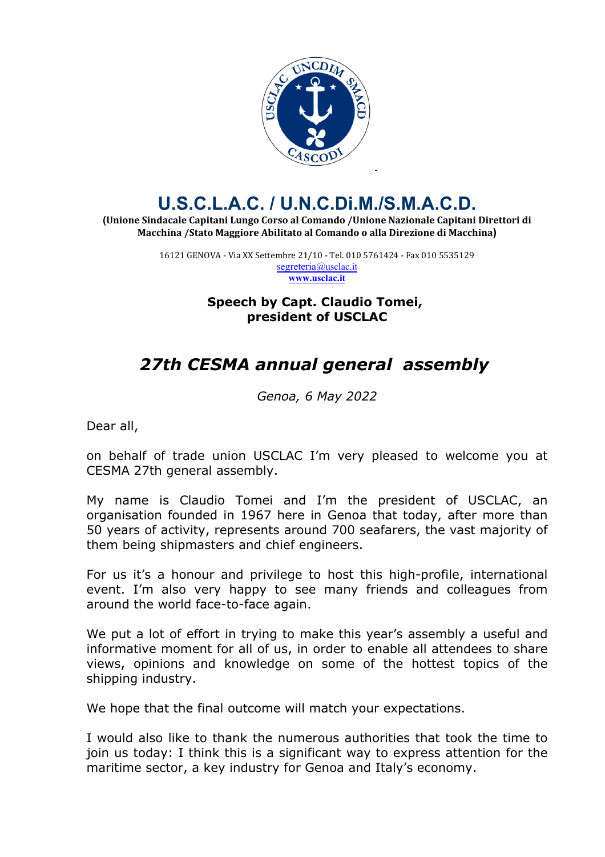

## **U.S.C.L.A.C. / U.N.C.Di.M./S.M.A.C.D.**

**(Unione Sindacale Capitani Lungo Corso al Comando /Unione Nazionale Capitani Direttori di Macchina /Stato Maggiore Abilitato al Comando o alla Direzione di Macchina)**

> 16121 GENOVA - Via XX Settembre 21/10 - Tel. 010 5761424 - Fax 010 5535129 [segreteria@](mailto:segreteria@usclac.it)[usclac.it](mailto:segreteria@usclac.it) **[www.usclac.it](http://www.usclac.it)**

> > **Speech by Capt. Claudio Tomei, president of USCLAC**

## *27th CESMA annual general assembly*

*Genoa, 6 May 2022*

Dear all,

on behalf of trade union USCLAC I'm very pleased to welcome you at CESMA 27th general assembly.

My name is Claudio Tomei and I'm the president of USCLAC, an organisation founded in 1967 here in Genoa that today, after more than 50 years of activity, represents around 700 seafarers, the vast majority of them being shipmasters and chief engineers.

For us it's a honour and privilege to host this high-profile, international event. I'm also very happy to see many friends and colleagues from around the world face-to-face again.

We put a lot of effort in trying to make this year's assembly a useful and informative moment for all of us, in order to enable all attendees to share views, opinions and knowledge on some of the hottest topics of the shipping industry.

We hope that the final outcome will match your expectations.

I would also like to thank the numerous authorities that took the time to join us today: I think this is a significant way to express attention for the maritime sector, a key industry for Genoa and Italy's economy.